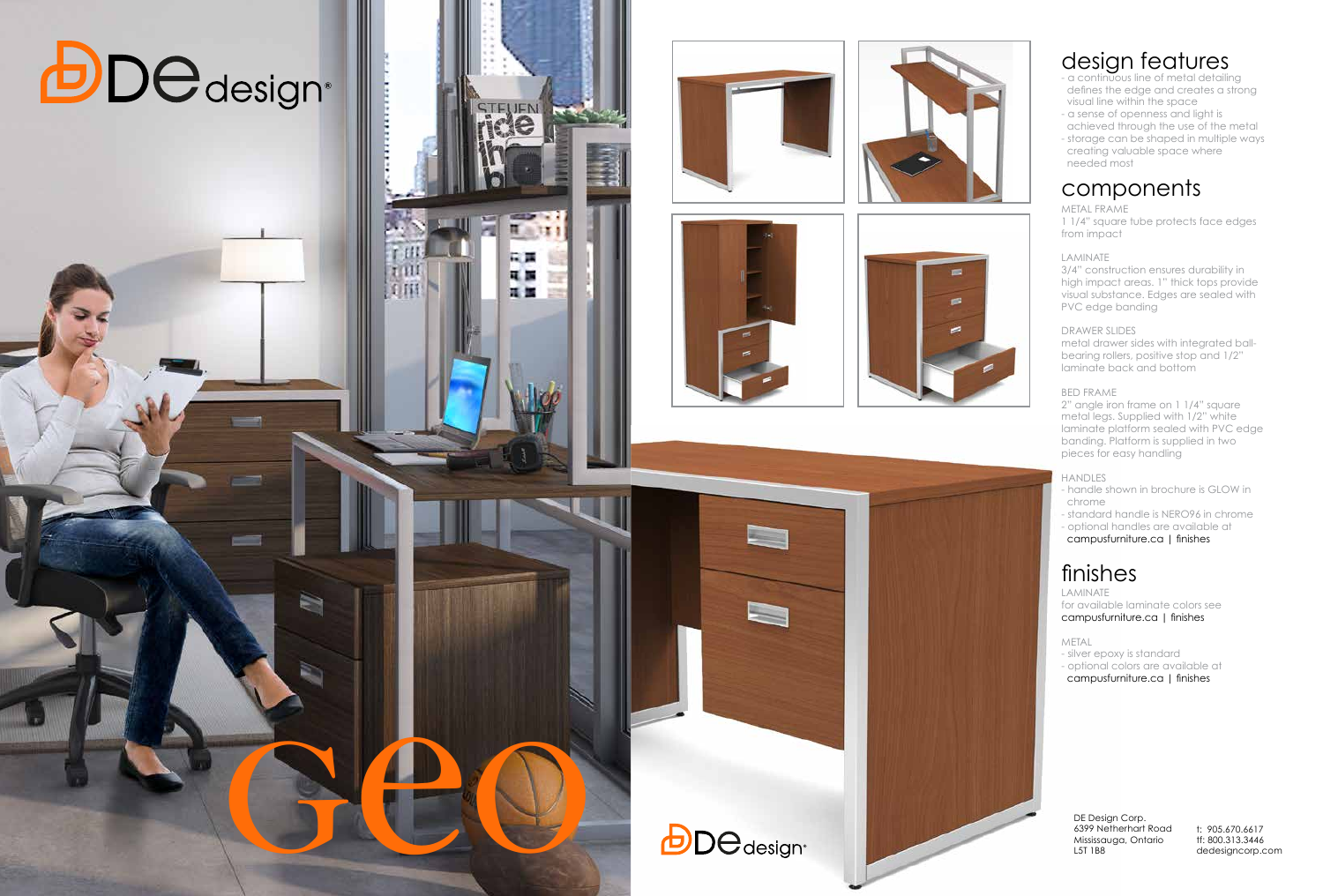DE Design Corp. 6399 Netherhart Road Mississauga, Ontario L5T 1B8

### design features

- a continuous line of metal detailing defines the edge and creates a strong visual line within the space
- a sense of openness and light is achieved through the use of the metal
- storage can be shaped in multiple ways creating valuable space where needed most

3/4" construction ensures durability in high impact areas. 1" thick tops provide visual substance. Edges are sealed with PVC edge banding

# components

#### METAL FRAME

1 1/4" square tube protects face edges from impact

#### LAMINATE

#### DRAWER SLIDES

metal drawer sides with integrated ballbearing rollers, positive stop and 1/2" laminate back and bottom

#### BED FRAME

2" angle iron frame on 1 1/4" square metal legs. Supplied with 1/2" white laminate platform sealed with PVC edge banding. Platform is supplied in two pieces for easy handling

#### HANDLES

- handle shown in brochure is GLOW in chrome
- standard handle is NERO96 in chrome
- optional handles are available at
- campusfurniture.ca | finishes

## finishes

LAMINATE for available laminate colors see campusfurniture.ca | finishes

METAL

- silver epoxy is standard
- optional colors are available at
- campusfurniture.ca | finishes



G

**CONTROL** 

**CITT** 



STELIEN NEW

William

中国 見属

耳面